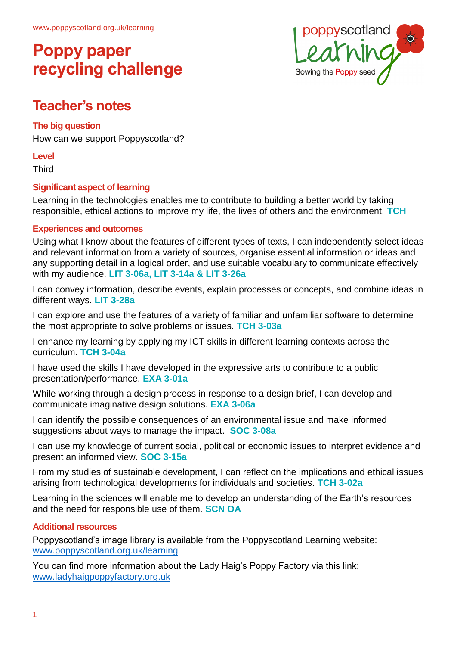

## **Teacher's notes**

#### **The big question**

How can we support Poppyscotland?

**Level**

**Third** 

#### **Significant aspect of learning**

Learning in the technologies enables me to contribute to building a better world by taking responsible, ethical actions to improve my life, the lives of others and the environment. **TCH**

#### **Experiences and outcomes**

Using what I know about the features of different types of texts, I can independently select ideas and relevant information from a variety of sources, organise essential information or ideas and any supporting detail in a logical order, and use suitable vocabulary to communicate effectively with my audience. **LIT 3-06a, LIT 3-14a & LIT 3-26a**

I can convey information, describe events, explain processes or concepts, and combine ideas in different ways. **LIT 3-28a**

I can explore and use the features of a variety of familiar and unfamiliar software to determine the most appropriate to solve problems or issues. **TCH 3-03a**

I enhance my learning by applying my ICT skills in different learning contexts across the curriculum. **TCH 3-04a**

I have used the skills I have developed in the expressive arts to contribute to a public presentation/performance. **EXA 3-01a**

While working through a design process in response to a design brief, I can develop and communicate imaginative design solutions. **EXA 3-06a**

I can identify the possible consequences of an environmental issue and make informed suggestions about ways to manage the impact. **SOC 3-08a**

I can use my knowledge of current social, political or economic issues to interpret evidence and present an informed view. **SOC 3-15a**

From my studies of sustainable development, I can reflect on the implications and ethical issues arising from technological developments for individuals and societies. **TCH 3-02a**

Learning in the sciences will enable me to develop an understanding of the Earth's resources and the need for responsible use of them. **SCN OA**

#### **Additional resources**

Poppyscotland's image library is available from the Poppyscotland Learning website: [www.poppyscotland.org.uk/learning](http://www.poppyscotland.org.uk/learning)

You can find more information about the Lady Haig's Poppy Factory via this link: [www.ladyhaigpoppyfactory.org.uk](http://www.ladyhaigpoppyfactory.org.uk/)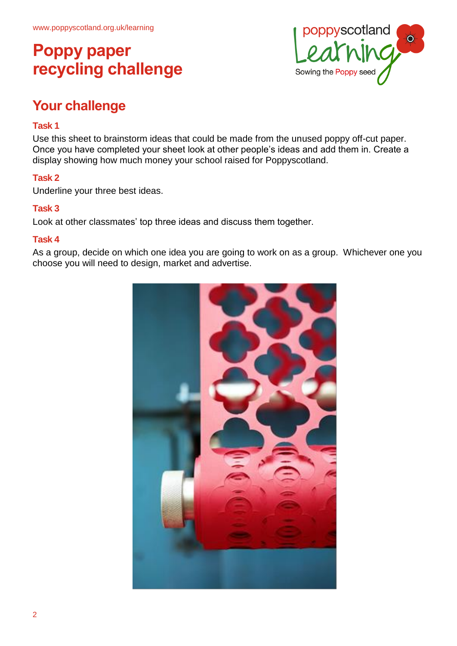

## **Your challenge**

#### **Task 1**

Use this sheet to brainstorm ideas that could be made from the unused poppy off-cut paper. Once you have completed your sheet look at other people's ideas and add them in. Create a display showing how much money your school raised for Poppyscotland.

#### **Task 2**

Underline your three best ideas.

#### **Task 3**

Look at other classmates' top three ideas and discuss them together.

#### **Task 4**

As a group, decide on which one idea you are going to work on as a group. Whichever one you choose you will need to design, market and advertise.

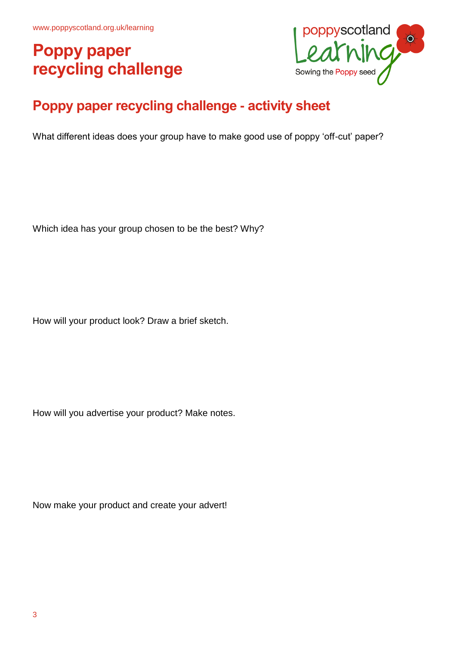

## **Poppy paper recycling challenge - activity sheet**

What different ideas does your group have to make good use of poppy 'off-cut' paper?

Which idea has your group chosen to be the best? Why?

How will your product look? Draw a brief sketch.

How will you advertise your product? Make notes.

Now make your product and create your advert!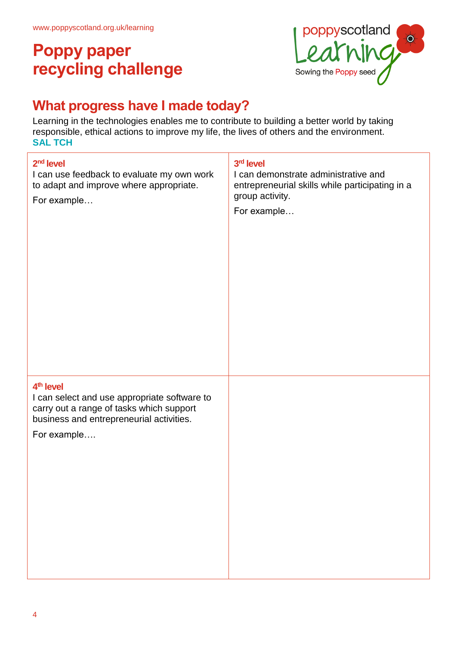

## **What progress have I made today?**

Learning in the technologies enables me to contribute to building a better world by taking responsible, ethical actions to improve my life, the lives of others and the environment. **SAL TCH**

| 2 <sup>nd</sup> level<br>I can use feedback to evaluate my own work<br>to adapt and improve where appropriate.<br>For example                                                | 3rd level<br>I can demonstrate administrative and<br>entrepreneurial skills while participating in a<br>group activity.<br>For example |
|------------------------------------------------------------------------------------------------------------------------------------------------------------------------------|----------------------------------------------------------------------------------------------------------------------------------------|
| 4 <sup>th</sup> level<br>I can select and use appropriate software to<br>carry out a range of tasks which support<br>business and entrepreneurial activities.<br>For example |                                                                                                                                        |